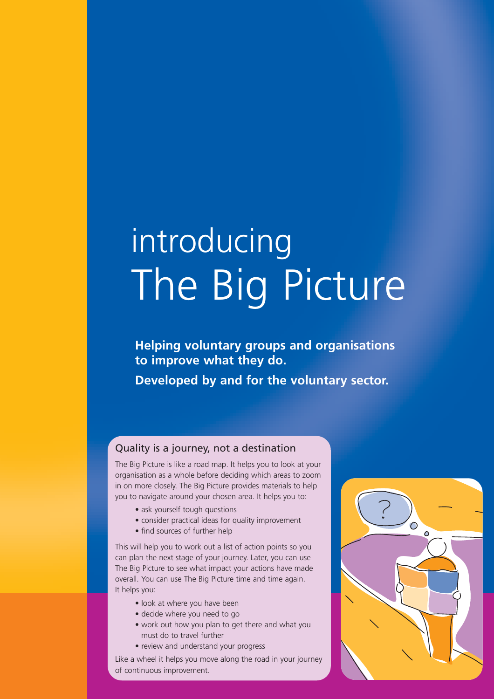# introducing The Big Picture

**Helping voluntary groups and organisations to improve what they do. Developed by and for the voluntary sector.** 

#### Quality is a journey, not a destination

The Big Picture is like a road map. It helps you to look at your organisation as a whole before deciding which areas to zoom in on more closely. The Big Picture provides materials to help you to navigate around your chosen area. It helps you to:

- ask yourself tough questions
- consider practical ideas for quality improvement
- find sources of further help

This will help you to work out a list of action points so you can plan the next stage of your journey. Later, you can use The Big Picture to see what impact your actions have made overall. You can use The Big Picture time and time again. It helps you:

- look at where you have been
- decide where you need to go
- work out how you plan to get there and what you must do to travel further
- review and understand your progress

Like a wheel it helps you move along the road in your journey of continuous improvement.

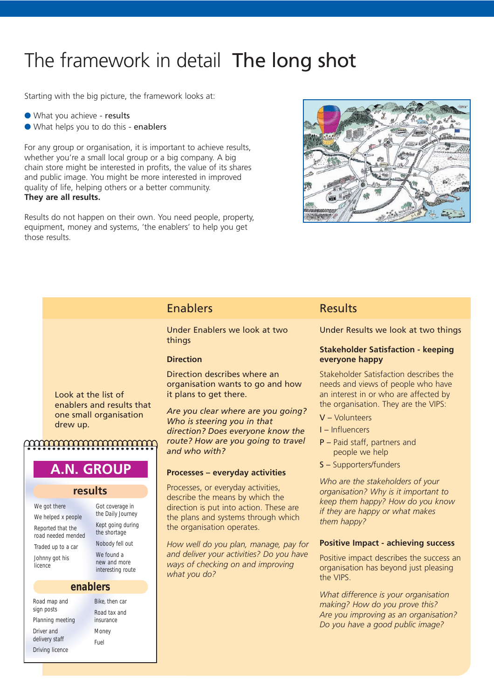# The framework in detail The long shot

Starting with the big picture, the framework looks at:

- What you achieve results
- What helps you to do this enablers

For any group or organisation, it is important to achieve results, whether you're a small local group or a big company. A big chain store might be interested in profits, the value of its shares and public image. You might be more interested in improved quality of life, helping others or a better community. **They are all results.**

Results do not happen on their own. You need people, property, equipment, money and systems, 'the enablers' to help you get those results.



### Enablers

Under Enablers we look at two things

#### **Direction**

Direction describes where an organisation wants to go and how it plans to get there.

*Are you clear where are you going? Who is steering you in that direction? Does everyone know the route? How are you going to travel and who with?*

#### **Processes – everyday activities**

Processes, or everyday activities, describe the means by which the direction is put into action. These are the plans and systems through which the organisation operates.

*How well do you plan, manage, pay for and deliver your activities? Do you have ways of checking on and improving what you do?*

#### Results

Under Results we look at two things

#### **Stakeholder Satisfaction - keeping everyone happy**

Stakeholder Satisfaction describes the needs and views of people who have an interest in or who are affected by the organisation. They are the VIPS:

- V Volunteers
- I Influencers
- P Paid staff, partners and people we help
- S Supporters/funders

*Who are the stakeholders of your organisation? Why is it important to keep them happy? How do you know if they are happy or what makes them happy?*

#### **Positive Impact - achieving success**

Positive impact describes the success an organisation has beyond just pleasing the VIPS.

*What difference is your organisation making? How do you prove this? Are you improving as an organisation? Do you have a good public image?* 

Look at the list of enablers and results that one small organisation drew up.

### <u>mmmmmmmmmm</u>

# **A.N. GROUP**

#### **results**

| We got there                            |
|-----------------------------------------|
| We helped x people                      |
| Reported that the<br>road needed mended |
| Traded up to a car                      |
| Johnny got his                          |

the Daily Journey Kept going during the shortage Nobody fell out We found a new and more interesting route

Got coverage in

#### **enablers**

Road map and sign posts Planning meeting Driver and delivery staff Driving licence

licence

Bike, then car Road tax and insurance Money Fuel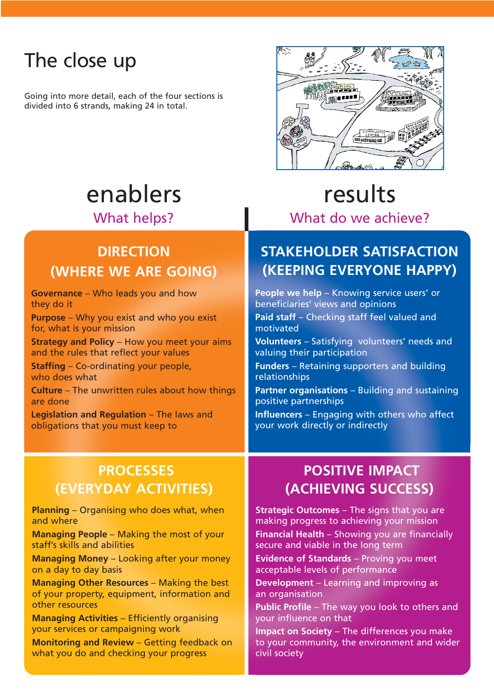# The close up

Going into more detail, each of the four sections is divided into 6 strands, making 24 in total.



# **DIRECTION (WHERE WE ARE GOING)**

**Governance** – Who leads you and how they do it

**Purpose** – Why you exist and who you exist for, what is your mission

**Strategy and Policy – How you meet your aims** and the rules that reflect your values

**Staffing** – Co-ordinating your people, who does what

**Culture** – The unwritten rules about how things are done

**Legislation and Regulation** – The laws and obligations that you must keep to

# enablers results What helps? **What do we achieve?**

### **STAKEHOLDER SATISFACTION (KEEPING EVERYONE HAPPY)**

**People we help** – Knowing service users' or beneficiaries' views and opinions

Paid staff - Checking staff feel valued and motivated

**Volunteers** – Satisfying volunteers' needs and valuing their participation

**Funders** – Retaining supporters and building relationships

**Partner organisations** – Building and sustaining positive partnerships

**Influencers** – Engaging with others who affect your work directly or indirectly

### **PROCESSES (EVERYDAY ACTIVITIES)**

**Planning** – Organising who does what, when and where

**Managing People** – Making the most of your staff's skills and abilities

**Managing Money** – Looking after your money on a day to day basis

**Managing Other Resources** – Making the best of your property, equipment, information and other resources

**Managing Activities** – Efficiently organising your services or campaigning work

**Monitoring and Review** – Getting feedback on what you do and checking your progress

# **POSITIVE IMPACT (ACHIEVING SUCCESS)**

**Strategic Outcomes** – The signs that you are making progress to achieving your mission

**Financial Health** – Showing you are financially secure and viable in the long term

**Evidence of Standards** – Proving you meet acceptable levels of performance

**Development** – Learning and improving as an organisation

**Public Profile** – The way you look to others and your influence on that

**Impact on Society** – The differences you make to your community, the environment and wider civil society